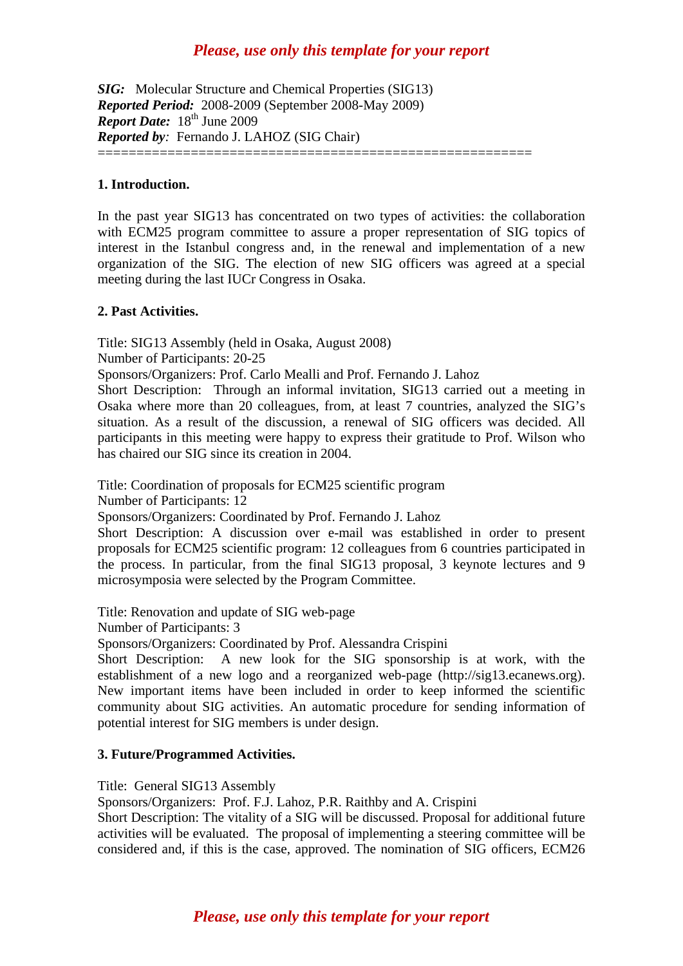## *Please, use only this template for your report*

*SIG:* Molecular Structure and Chemical Properties (SIG13) *Reported Period:* 2008-2009 (September 2008-May 2009) *Report Date:*  $18^{th}$  June 2009 *Reported by:* Fernando J. LAHOZ (SIG Chair) ========================================================

**1. Introduction.** 

In the past year SIG13 has concentrated on two types of activities: the collaboration with ECM25 program committee to assure a proper representation of SIG topics of interest in the Istanbul congress and, in the renewal and implementation of a new organization of the SIG. The election of new SIG officers was agreed at a special meeting during the last IUCr Congress in Osaka.

#### **2. Past Activities.**

Title: SIG13 Assembly (held in Osaka, August 2008)

Number of Participants: 20-25

Sponsors/Organizers: Prof. Carlo Mealli and Prof. Fernando J. Lahoz

Short Description: Through an informal invitation, SIG13 carried out a meeting in Osaka where more than 20 colleagues, from, at least 7 countries, analyzed the SIG's situation. As a result of the discussion, a renewal of SIG officers was decided. All participants in this meeting were happy to express their gratitude to Prof. Wilson who has chaired our SIG since its creation in 2004.

Title: Coordination of proposals for ECM25 scientific program

Number of Participants: 12

Sponsors/Organizers: Coordinated by Prof. Fernando J. Lahoz

Short Description: A discussion over e-mail was established in order to present proposals for ECM25 scientific program: 12 colleagues from 6 countries participated in the process. In particular, from the final SIG13 proposal, 3 keynote lectures and 9 microsymposia were selected by the Program Committee.

Title: Renovation and update of SIG web-page

Number of Participants: 3

Sponsors/Organizers: Coordinated by Prof. Alessandra Crispini

Short Description: A new look for the SIG sponsorship is at work, with the establishment of a new logo and a reorganized web-page (http://sig13.ecanews.org). New important items have been included in order to keep informed the scientific community about SIG activities. An automatic procedure for sending information of potential interest for SIG members is under design.

#### **3. Future/Programmed Activities.**

Title: General SIG13 Assembly

Sponsors/Organizers: Prof. F.J. Lahoz, P.R. Raithby and A. Crispini

Short Description: The vitality of a SIG will be discussed. Proposal for additional future activities will be evaluated. The proposal of implementing a steering committee will be considered and, if this is the case, approved. The nomination of SIG officers, ECM26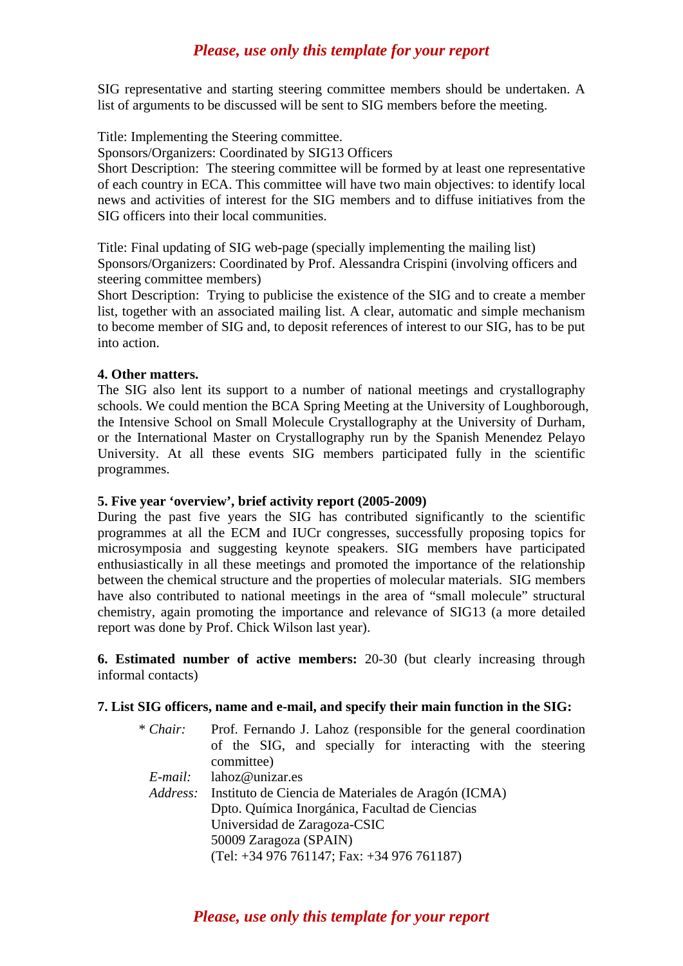## *Please, use only this template for your report*

SIG representative and starting steering committee members should be undertaken. A list of arguments to be discussed will be sent to SIG members before the meeting.

Title: Implementing the Steering committee.

Sponsors/Organizers: Coordinated by SIG13 Officers

Short Description: The steering committee will be formed by at least one representative of each country in ECA. This committee will have two main objectives: to identify local news and activities of interest for the SIG members and to diffuse initiatives from the SIG officers into their local communities.

Title: Final updating of SIG web-page (specially implementing the mailing list) Sponsors/Organizers: Coordinated by Prof. Alessandra Crispini (involving officers and steering committee members)

Short Description: Trying to publicise the existence of the SIG and to create a member list, together with an associated mailing list. A clear, automatic and simple mechanism to become member of SIG and, to deposit references of interest to our SIG, has to be put into action.

#### **4. Other matters.**

The SIG also lent its support to a number of national meetings and crystallography schools. We could mention the BCA Spring Meeting at the University of Loughborough, the Intensive School on Small Molecule Crystallography at the University of Durham, or the International Master on Crystallography run by the Spanish Menendez Pelayo University. At all these events SIG members participated fully in the scientific programmes.

#### **5. Five year 'overview', brief activity report (2005-2009)**

During the past five years the SIG has contributed significantly to the scientific programmes at all the ECM and IUCr congresses, successfully proposing topics for microsymposia and suggesting keynote speakers. SIG members have participated enthusiastically in all these meetings and promoted the importance of the relationship between the chemical structure and the properties of molecular materials. SIG members have also contributed to national meetings in the area of "small molecule" structural chemistry, again promoting the importance and relevance of SIG13 (a more detailed report was done by Prof. Chick Wilson last year).

**6. Estimated number of active members:** 20-30 (but clearly increasing through informal contacts)

#### **7. List SIG officers, name and e-mail, and specify their main function in the SIG:**

| Prof. Fernando J. Lahoz (responsible for the general coordination |
|-------------------------------------------------------------------|
| of the SIG, and specially for interacting with the steering       |
| committee)                                                        |
| lahoz@unizar.es                                                   |
| Address: Instituto de Ciencia de Materiales de Aragón (ICMA)      |
| Dpto. Química Inorgánica, Facultad de Ciencias                    |
| Universidad de Zaragoza-CSIC                                      |
| 50009 Zaragoza (SPAIN)                                            |
| (Tel: $+34976761147$ ; Fax: $+34976761187$ )                      |
|                                                                   |